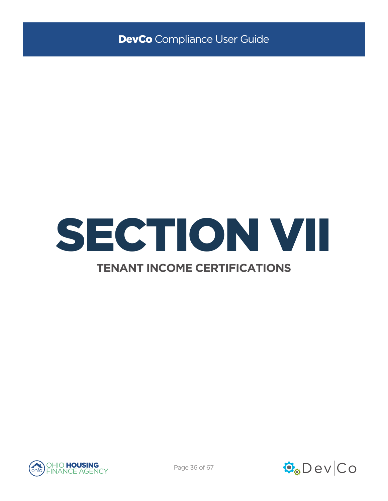





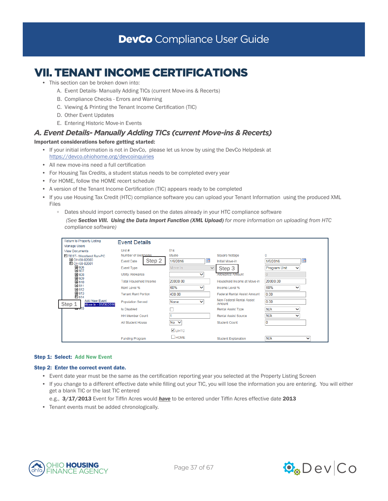# VII. TENANT INCOME CERTIFICATIONS

- This section can be broken down into:
	- A. Event Details- Manually Adding TICs (current Move-ins & Recerts)
	- B. Compliance Checks Errors and Warning
	- C. Viewing & Printing the Tenant Income Certification (TIC)
	- D. Other Event Updates
	- E. Entering Historic Move-in Events

### *A. Event Details- Manually Adding TICs (current Move-ins & Recerts)*

Important considerations before getting started:

- If your initial information is not in DevCo, please let us know by using the DevCo Helpdesk at <https://devco.ohiohome.org/devcoinquiries>
- All new move-ins need a full certification
- For Housing Tax Credits, a student status needs to be completed every year
- For HOME, follow the HOME recert schedule
- A version of the Tenant Income Certification (TIC) appears ready to be completed
- If you use Housing Tax Credit (HTC) compliance software you can upload your Tenant Information using the produced XML Files
	- Dates should import correctly based on the dates already in your HTC compliance software  *(See Section VIII. Using the Data Import Function (XML Upload) for more information on uploading from HTC compliance software)*

| Return to Property Listing                      | <b>Event Details</b>          |                            |                                     |                                     |
|-------------------------------------------------|-------------------------------|----------------------------|-------------------------------------|-------------------------------------|
| <b>Manage Users</b>                             |                               |                            |                                     |                                     |
| <b>View Documents</b>                           | Unit #                        | 614                        |                                     |                                     |
| TEST-Woodland Run-PC                            | Number of Bedrooms            | <b>Studio</b>              | Square footage                      | $\mathbf{0}$                        |
| CH-88-02000<br>DOH-88-02001                     | Step 2<br><b>Event Date</b>   | ▦<br>1/6/2016              | <b>Initial Move-in</b>              | ▦<br>1/6/2016                       |
| ± 606<br>国 607                                  | <b>Event Type</b>             | Move In<br>$\checkmark$    | Step 3                              | <b>Program Unit</b><br>$\checkmark$ |
| 国 608<br>国 609                                  | <b>Utility Allowance</b>      | ◡                          | <b>Allowance Amount</b>             |                                     |
| 国 610                                           | <b>Total Household Income</b> | 20000.00                   | Household Income at Move-in         | 20000.00                            |
| ■ 611<br>国 612                                  | Rent Level %                  | 60%<br>$\check{ }$         | Income Level %                      | 60%<br>◡                            |
| 国 613<br>E 614                                  | <b>Tenant Rent Portion</b>    | 400.00                     | <b>Federal Rental Assist Amount</b> | 0.00                                |
| Add New Event<br>Step 1<br>Move In - 01/06/2016 | <b>Population Served</b>      | None<br>$\checkmark$       | Non-Federal Rental Assist<br>Amount | 0.00                                |
|                                                 | <b>Is Disabled</b>            |                            | <b>Rental Assist Type</b>           | N/A<br>$\checkmark$                 |
|                                                 | <b>HH Member Count</b>        |                            | <b>Rental Assist Source</b>         | N/A<br>$\checkmark$                 |
|                                                 | All Student House             | No $\vee$                  | Student Count                       | ١O                                  |
|                                                 |                               | $\blacktriangledown$ LIHTC |                                     |                                     |
|                                                 | <b>Funding Program</b>        | $\Box$ HOME                | <b>Student Explanation</b>          | N/A<br>$\checkmark$                 |

#### Step 1: Select: Add New Event

#### Step 2: Enter the correct event date.

- Event date year must be the same as the certification reporting year you selected at the Property Listing Screen
- If you change to a different effective date while filling out your TIC, you will lose the information you are entering. You will either get a blank TIC or the last TIC entered

e.g., 3/17/2013 Event for Tiffin Acres would *have* to be entered under Tiffin Acres effective date 2013

• Tenant events must be added chronologically.



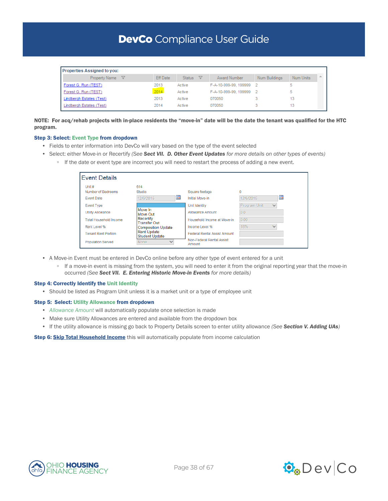| <b>Properties Assigned to you:</b> |                 |                    |                       |               |           |              |
|------------------------------------|-----------------|--------------------|-----------------------|---------------|-----------|--------------|
| Property Name $\nabla$             | <b>Eff Date</b> | 7<br><b>Status</b> | Award Number          | Num Buildings | Num Units | <b>Calle</b> |
| Forest G. Run (TEST)               | 2013            | Active             | F-A-10-999-99, 199999 |               |           |              |
| Forest G. Run (TEST)               | 2014            | <b>Active</b>      | F-A-10-999-99, 199999 |               |           |              |
| Lindbergh Estates (Test)           | 2013            | Active             | 070050                |               | 13        |              |
| Lindbergh Estates (Test)           | 2014            | Active             | 070050                |               |           |              |

NOTE: For acq/rehab projects with in-place residents the "move-in" date will be the date the tenant was qualified for the HTC program.

#### Step 3: Select: Event Type from dropdown

- Fields to enter information into DevCo will vary based on the type of the event selected
- Select: either Move-in or Recertify *(See Sect VII. D. Other Event Updates for more details on other types of events)*
	- If the date or event type are incorrect you will need to restart the process of adding a new event.

| <b>Event Details</b>          |                                             |                                     |                                     |
|-------------------------------|---------------------------------------------|-------------------------------------|-------------------------------------|
| Unit $#$                      | 614                                         |                                     |                                     |
| Number of Bedrooms            | Studio                                      | Square footage                      | o                                   |
| <b>Event Date</b>             | P<br>12/6/2015                              | Initial Move-in                     | <b>HH</b><br>12/6/2015              |
| <b>Event Type</b>             |                                             | Unit Identity                       | $\checkmark$<br><b>Program Unit</b> |
| <b>Utility Allowance</b>      | Move In<br>Move Out                         | Allowance Amount                    | 0.0                                 |
| <b>Total Household Income</b> | Recertify<br><b>Transfer Out</b>            | Household Income at Move-in         | 0.00                                |
| Rent Level %                  | <b>Composition Update</b>                   | Income Level %                      | 18%<br>$\checkmark$                 |
| <b>Tenant Rent Portion</b>    | <b>Rent Update</b><br><b>Student Update</b> | <b>Federal Rental Assist Amount</b> |                                     |
| <b>Population Served</b>      | $\checkmark$<br>None                        | Non-Federal Rental Assist<br>Amount |                                     |

- A Move-in Event must be entered in DevCo online before any other type of event entered for a unit
	- If a move-in event is missing from the system, you will need to enter it from the original reporting year that the move-in occurred *(See Sect VII. E. Entering Historic Move-in Events for more details)*

#### Step 4: Correctly Identify the Unit Identity

• Should be listed as Program Unit unless it is a market unit or a type of employee unit

#### Step 5: Select: Utility Allowance from dropdown

- *Allowance Amount* will automatically populate once selection is made
- Make sure Utility Allowances are entered and available from the dropdown box
- If the utility allowance is missing go back to Property Details screen to enter utility allowance *(See Section V. Adding UAs)*

#### Step 6: **Skip Total Household Income** this will automatically populate from income calculation



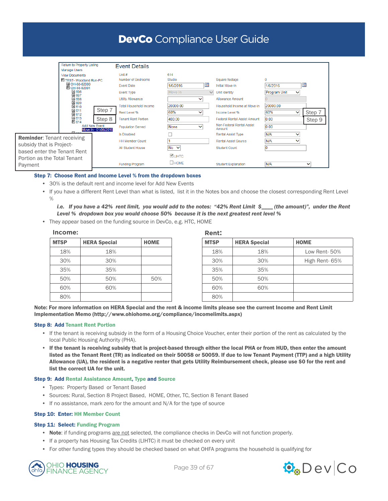|                                   | Return to Property Listing<br><b>Manage Users</b> |                      | <b>Event Details</b>          |                      |              |                                     |              |              |        |
|-----------------------------------|---------------------------------------------------|----------------------|-------------------------------|----------------------|--------------|-------------------------------------|--------------|--------------|--------|
|                                   | <b>View Documents</b>                             |                      | Unit #                        | 614                  |              |                                     |              |              |        |
|                                   | TEST-Woodland Run-PC                              |                      | Number of Bedrooms            | Studio               |              | Square footage                      | $\mathbf{0}$ |              |        |
|                                   | OH-88-02000<br>DOH-88-02001                       |                      | <b>Event Date</b>             | 1/6/2016             | HH           | <b>Initial Move-in</b>              | 1/6/2016     | ma.          |        |
|                                   | 国 606<br>■ 607                                    |                      | <b>Event Type</b>             | Move In              | $\checkmark$ | Unit Identity                       | Program Unit | $\checkmark$ |        |
|                                   | ■ 608<br>■ 609                                    |                      | <b>Utility Allowance</b>      | $\checkmark$         |              | Allowance Amount                    |              |              |        |
|                                   | 国 610                                             |                      | <b>Total Household Income</b> | 20000.00             |              | Household Income at Move-in         | 20000.00     |              |        |
|                                   | 国 611<br>■ 612                                    | Step 7               | Rent Level %                  | 60%<br>$\checkmark$  |              | Income Level %                      | 60%          | $\checkmark$ | Step 7 |
|                                   | 国 613<br>$E$ 614                                  | Step 8               | <b>Tenant Rent Portion</b>    | 400.00               |              | <b>Federal Rental Assist Amount</b> | 0.00         |              | Step 9 |
|                                   | <b>Add New Event</b>                              | Move In - 01/06/2016 | <b>Population Served</b>      | None<br>$\checkmark$ |              | Non-Federal Rental Assist<br>Amount | 0.00         |              |        |
|                                   | <b>Ellipse</b>                                    |                      | <b>Is Disabled</b>            |                      |              | <b>Rental Assist Type</b>           | N/A          | $\checkmark$ |        |
| <b>Reminder: Tenant receiving</b> |                                                   |                      | <b>HH Member Count</b>        |                      |              | <b>Rental Assist Source</b>         | N/A          | $\checkmark$ |        |
| subsidy that is Project-          |                                                   |                      | All Student House             | $No \vee$            |              | <b>Student Count</b>                | 10           |              |        |
| based enter the Tenant Rent       |                                                   |                      |                               | $\blacksquare$ LIHTC |              |                                     |              |              |        |
| Portion as the Total Tenant       |                                                   |                      |                               |                      |              |                                     |              |              |        |
| Payment                           |                                                   |                      | <b>Funding Program</b>        | $\Box$ HOME          |              | <b>Student Explanation</b>          | N/A          |              | ◡      |

#### Step 7: Choose Rent and Income Level % from the dropdown boxes

- 30% is the default rent and income level for Add New Events
- If you have a different Rent Level than what is listed, list it in the Notes box and choose the closest corresponding Rent Level  $\%$

*i.e. If you have a 42% rent limit, you would add to the notes: "42% Rent Limit \$\_\_\_\_ (the amount)", under the Rent Level % dropdown box you would choose 50% because it is the next greatest rent level %* 

• They appear based on the funding source in DevCo, e.g. HTC, HOME

#### **Income: Rent: Rent:**

| <b>MTSP</b> | <b>HERA Special</b> | <b>HOME</b> | <b>MTSP</b> | <b>HERA Special</b> | <b>HOME</b> |
|-------------|---------------------|-------------|-------------|---------------------|-------------|
| 18%         | 18%                 |             | 18%         | 18%                 | Lo          |
| 30%         | 30%                 |             | 30%         | 30%                 | Hig         |
| 35%         | 35%                 |             | 35%         | 35%                 |             |
| 50%         | 50%                 | 50%         | 50%         | 50%                 |             |
| 60%         | 60%                 |             | 60%         | 60%                 |             |
| 80%         |                     |             | 80%         |                     |             |

| <b>SP</b> | <b>HERA Special</b> | <b>HOME</b> | <b>MTSP</b> | <b>HERA Special</b> | <b>HOME</b>   |
|-----------|---------------------|-------------|-------------|---------------------|---------------|
| 18%       | 18%                 |             | 18%         | 18%                 | Low Rent-50%  |
| 30%       | 30%                 |             | 30%         | 30%                 | High Rent-65% |
| 35%       | 35%                 |             | 35%         | 35%                 |               |
| 50%       | 50%                 | 50%         | 50%         | 50%                 |               |
| 60%       | 60%                 |             | 60%         | 60%                 |               |
| 80%       |                     |             | 80%         |                     |               |
|           |                     |             |             |                     |               |

Note: For more information on HERA Special and the rent & income limits please see the current Income and Rent Limit Implementation Memo (http://www.ohiohome.org/compliance/incomelimits.aspx)

#### Step 8: Add Tenant Rent Portion

- If the tenant is receiving subsidy in the form of a Housing Choice Voucher, enter their portion of the rent as calculated by the local Public Housing Authority (PHA).
- If the tenant is receiving subsidy that is project-based through either the local PHA or from HUD, then enter the amount listed as the Tenant Rent (TR) as indicated on their 50058 or 50059. If due to low Tenant Payment (TTP) and a high Utility Allowance (UA), the resident is a negative renter that gets Utility Reimbursement check, please use \$0 for the rent and list the correct UA for the unit.

#### Step 9: Add Rental Assistance Amount, Type and Source

- Types: Property Based or Tenant Based
- Sources: Rural, Section 8 Project Based, HOME, Other, TC, Section 8 Tenant Based
- If no assistance, mark zero for the amount and N/A for the type of source

#### Step 10: Enter: HH Member Count

#### Step 11: Select: Funding Program

- Note: if funding programs are not selected, the compliance checks in DevCo will not function properly.
- If a property has Housing Tax Credits (LIHTC) it must be checked on every unit
- For other funding types they should be checked based on what OHFA programs the household is qualifying for



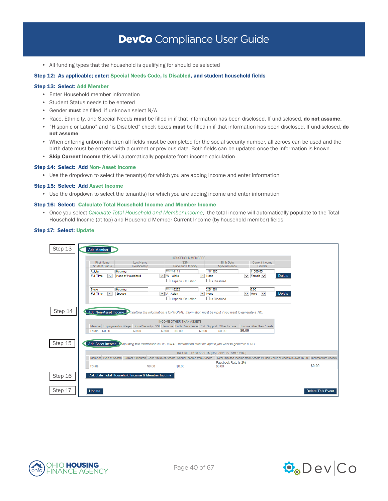• All funding types that the household is qualifying for should be selected

#### Step 12: As applicable; enter: Special Needs Code, Is Disabled, and student household fields

#### Step 13: Select: Add Member

- Enter Household member information
- Student Status needs to be entered
- Gender **must** be filled, if unknown select N/A
- Race, Ethnicity, and Special Needs must be filled in if that information has been disclosed. If undisclosed, do not assume.
- "Hispanic or Latino" and "is Disabled" check boxes must be filled in if that information has been disclosed. If undisclosed, do not assume.
- When entering unborn children all fields must be completed for the social security number, all zeroes can be used and the birth date must be entered with a current or previous date. Both fields can be updated once the information is known.
- Skip Current Income this will automatically populate from income calculation

#### Step 14: Select: Add Non- Asset Income

• Use the dropdown to select the tenant(s) for which you are adding income and enter information

#### Step 15: Select: Add Asset Income

• Use the dropdown to select the tenant(s) for which you are adding income and enter information

#### Step 16: Select: Calculate Total Household Income and Member Income

• Once you select *Calculate Total Household and Member Income*, the total income will automatically populate to the Total Household Income (at top) and Household Member Current Income (by household member) fields

#### Step 17: Select: Update





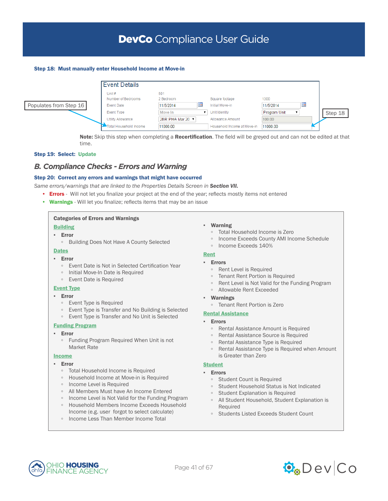#### Step 18: Must manually enter Household Income at Move-in



Note: Skip this step when completing a Recertification. The field will be greyed out and can not be edited at that time.

#### Step 19: Select: Update

### *B. Compliance Checks - Errors and Warning*

#### Step 20: Correct any errors and warnings that might have occurred

*Same errors/warnings that are linked to the Properties Details Screen in Section VII.* 

- Errors Will not let you finalize your project at the end of the year; reflects mostly items not entered
- Warnings Will let you finalize; reflects items that may be an issue

#### Categories of Errors and Warnings

#### **Building**

#### ▪ Error

◦ Building Does Not Have A County Selected

#### **Dates**

#### ▪ Error

- Event Date is Not in Selected Certification Year
- Initial Move-In Date is Required
- Event Date is Required

#### Event Type

#### ▪ Error

- Event Type is Required
- Event Type is Transfer and No Building is Selected
- Event Type is Transfer and No Unit is Selected

#### Funding Program

- Error
	- Funding Program Required When Unit is not Market Rate

#### Income

#### ▪ Error

- Total Household Income is Required
- Household Income at Move-in is Required
- Income Level is Required
- All Members Must have An Income Entered
- Income Level is Not Valid for the Funding Program
- Household Members Income Exceeds Household
- Income (e.g. user forgot to select calculate) ◦ Income Less Than Member Income Total

#### ▪ Warning

- Total Household Income is Zero
- Income Exceeds County AMI Income Schedule
- Income Exceeds 140%

### Rent

- Errors ◦ Rent Level is Required
	- Tenant Rent Portion is Required
	- Rent Level is Not Valid for the Funding Program
	- Allowable Rent Exceeded
- Warnings
	- Tenant Rent Portion is Zero

#### Rental Assistance

- Errors
	- Rental Assistance Amount is Required
	- Rental Assistance Source is Required
	- Rental Assistance Type is Required
	- Rental Assistance Type is Required when Amount is Greater than Zero

#### Student

- Errors
	- Student Count is Required
	- Student Household Status is Not Indicated
	- Student Explanation is Required
	- All Student Household, Student Explanation is Required
	- Students Listed Exceeds Student Count



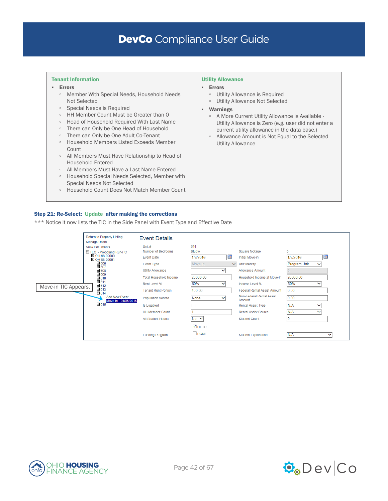#### Tenant Information

- Errors
	- Member With Special Needs, Household Needs Not Selected
	- Special Needs is Required
	- HH Member Count Must be Greater than 0
	- Head of Household Required With Last Name
	- There can Only be One Head of Household
	- There can Only be One Adult Co-Tenant
	- Household Members Listed Exceeds Member **Count**
	- All Members Must Have Relationship to Head of Household Entered
	- All Members Must Have a Last Name Entered
	- Household Special Needs Selected, Member with Special Needs Not Selected
	- Household Count Does Not Match Member Count

#### **Utility Allowance**

- Errors
	- Utility Allowance is Required
	- Utility Allowance Not Selected
- Warnings
	- A More Current Utility Allowance is Available Utility Allowance is Zero (e.g. user did not enter a current utility allowance in the data base.)
	- Allowance Amount is Not Equal to the Selected Utility Allowance

#### Step 21: Re-Select: Update after making the corrections

\*\*\* Notice it now lists the TIC in the Side Panel with Event Type and Effective Date



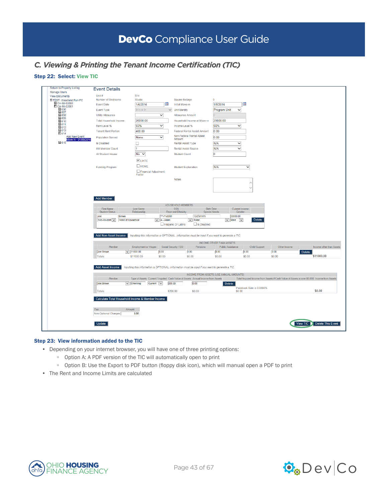### *C. Viewing & Printing the Tenant Income Certification (TIC)*

#### Step 22: Select: View TIC

| <b>Return to Property Listing</b> | <b>Event Details</b>                             |                                              |                                                                                                  |                                                                       |                                                                                             |                                             |
|-----------------------------------|--------------------------------------------------|----------------------------------------------|--------------------------------------------------------------------------------------------------|-----------------------------------------------------------------------|---------------------------------------------------------------------------------------------|---------------------------------------------|
| Manage Users                      |                                                  |                                              |                                                                                                  |                                                                       |                                                                                             |                                             |
| <b>View Documents</b>             | Unit#                                            | 614                                          |                                                                                                  |                                                                       |                                                                                             |                                             |
| 图 TEST- Woodland Run-PC           | Number of Bedrooms                               | Studio                                       | Square footage                                                                                   | $\mathbf{0}$                                                          |                                                                                             |                                             |
| A OH-88-02000<br>DOH-88-02001     | <b>Event Date</b>                                | m<br>1/6/2016                                | <b>Initial Move-in</b>                                                                           | H<br>1/6/2016                                                         |                                                                                             |                                             |
| 国606<br>国607                      | <b>Event Type</b>                                | Move In                                      | <b>Unit Identity</b><br>$\checkmark$                                                             | <b>Program Unit</b><br>v                                              |                                                                                             |                                             |
| 国608                              | <b>Utility Allowance</b>                         | v                                            | <b>Allowance Amount</b>                                                                          |                                                                       |                                                                                             |                                             |
| 国609                              |                                                  |                                              |                                                                                                  |                                                                       |                                                                                             |                                             |
| 国610                              | <b>Total Household Income</b>                    | 20000.00                                     | Household Income at Move-in                                                                      | 20000.00                                                              |                                                                                             |                                             |
| 国611<br>国612                      | Rent Level %                                     | 60%<br>v                                     | Income Level %                                                                                   | $\checkmark$<br>60%                                                   |                                                                                             |                                             |
| 国613                              | <b>Tenant Rent Portion</b>                       | 400.00                                       | <b>Federal Rental Assist Amount</b>                                                              | 0.00                                                                  |                                                                                             |                                             |
| $E$ 614<br>Add New Event          |                                                  | v                                            | Non-Federal Rental Assist                                                                        | 0.00                                                                  |                                                                                             |                                             |
| Move In - 01/06/2016              | <b>Population Served</b>                         | None                                         | Amount                                                                                           |                                                                       |                                                                                             |                                             |
| 国615                              | <b>Is Disabled</b>                               | $\Box$                                       | <b>Rental Assist Type</b>                                                                        | $\overline{\mathbf{v}}$<br>N/A                                        |                                                                                             |                                             |
|                                   | <b>HH Member Count</b>                           | Ŧ                                            | <b>Rental Assist Source</b>                                                                      | $\checkmark$<br>N/A                                                   |                                                                                             |                                             |
|                                   | All Student House                                | $No \vee$                                    | <b>Student Count</b>                                                                             | o                                                                     |                                                                                             |                                             |
|                                   |                                                  |                                              |                                                                                                  |                                                                       |                                                                                             |                                             |
|                                   |                                                  | <b>V</b> LIHTC                               |                                                                                                  |                                                                       |                                                                                             |                                             |
|                                   | <b>Funding Program</b>                           | □номе                                        | <b>Student Explanation</b>                                                                       | N/A<br>$\checkmark$                                                   |                                                                                             |                                             |
|                                   |                                                  | Financial Adjustment                         |                                                                                                  |                                                                       |                                                                                             |                                             |
|                                   |                                                  | Factor                                       |                                                                                                  |                                                                       |                                                                                             |                                             |
|                                   |                                                  |                                              | <b>Notes</b>                                                                                     |                                                                       |                                                                                             |                                             |
|                                   |                                                  |                                              |                                                                                                  |                                                                       |                                                                                             |                                             |
|                                   |                                                  |                                              |                                                                                                  |                                                                       |                                                                                             |                                             |
|                                   |                                                  |                                              |                                                                                                  |                                                                       |                                                                                             |                                             |
|                                   | <b>Add Member</b>                                |                                              |                                                                                                  |                                                                       |                                                                                             |                                             |
|                                   |                                                  |                                              |                                                                                                  |                                                                       |                                                                                             |                                             |
|                                   |                                                  |                                              | HOUSEHOLD MEMBERS                                                                                |                                                                       |                                                                                             |                                             |
|                                   | First Name<br><b>Student Status</b>              | <b>Last Name</b><br>Relationship             | <b>SSN</b><br>Race and Ethnicity                                                                 | <b>Birth Date</b><br>Current Income<br><b>Special Needs</b><br>Gender |                                                                                             |                                             |
|                                   | Joe<br><b>Brown</b>                              | ***.**.0000                                  | 12/23/1975                                                                                       | 20000.00                                                              |                                                                                             |                                             |
|                                   | <b>Head of Household</b><br>Non-Student V        | $\vee$ A - Asian                             | $\vee$ None                                                                                      | $\vee$ Male $\vee$                                                    | <b>Delete</b>                                                                               |                                             |
|                                   |                                                  |                                              | Hispanic Or Latino<br>$\Box$ Is Disabled                                                         |                                                                       |                                                                                             |                                             |
|                                   |                                                  |                                              |                                                                                                  |                                                                       |                                                                                             |                                             |
|                                   |                                                  |                                              |                                                                                                  |                                                                       |                                                                                             |                                             |
|                                   | Add Non-Asset Income                             |                                              | Inputting this information is OPTIONAL. Information must be input if you want to generate a TIC. |                                                                       |                                                                                             |                                             |
|                                   |                                                  |                                              |                                                                                                  | <b>INCOME OTHER THAN ASSETS</b>                                       |                                                                                             |                                             |
|                                   | Member                                           | Employment or Wages                          | Social Security / SSI<br>Pensions                                                                | <b>Public Assistance</b>                                              | <b>Child Support</b><br>Other Income                                                        | Income other than Assets                    |
|                                   | Joe Brown                                        | $\vee$ 11000.00<br>0.00                      | 0.00                                                                                             | 0.00<br>0.00                                                          | 0.00                                                                                        | <b>Delete</b>                               |
|                                   | Totals:                                          | \$11000.00<br>\$0.00                         | \$0.00                                                                                           | \$0.00<br>\$0.00                                                      | \$0.00                                                                                      | \$11000.00                                  |
|                                   |                                                  |                                              |                                                                                                  |                                                                       |                                                                                             |                                             |
|                                   |                                                  |                                              |                                                                                                  |                                                                       |                                                                                             |                                             |
|                                   | Add Asset Income                                 |                                              | Inputting this information is OPTIONAL. Information must be input if you want to generate a TIC. |                                                                       |                                                                                             |                                             |
|                                   |                                                  |                                              |                                                                                                  |                                                                       |                                                                                             |                                             |
|                                   |                                                  |                                              |                                                                                                  | INCOME FROM ASSETS (USE ANNUAL AMOUNTS)                               |                                                                                             |                                             |
|                                   | Member                                           |                                              | Type of Assets Current / Imputed Cash Value of Assets Annual Income from Assets                  |                                                                       | Total Imputed Income from Assets if Cash Value of Assets is over \$5,000 Income from Assets |                                             |
|                                   | Joe Brown                                        | $\vee$ Checking<br>$Current \nightharpoonup$ | 200.00<br>0.00                                                                                   | Delete                                                                |                                                                                             |                                             |
|                                   | Totals:                                          |                                              | \$200.00<br>\$0.00                                                                               | Passbook Rate is 0.0600%<br>\$0.00                                    |                                                                                             | \$0.00                                      |
|                                   |                                                  |                                              |                                                                                                  |                                                                       |                                                                                             |                                             |
|                                   | Calculate Total Household Income & Member Income |                                              |                                                                                                  |                                                                       |                                                                                             |                                             |
|                                   |                                                  |                                              |                                                                                                  |                                                                       |                                                                                             |                                             |
|                                   |                                                  |                                              |                                                                                                  |                                                                       |                                                                                             |                                             |
|                                   | Fee<br>Amount                                    |                                              |                                                                                                  |                                                                       |                                                                                             |                                             |
|                                   | Non-Optional Charges                             | 0.00                                         |                                                                                                  |                                                                       |                                                                                             |                                             |
|                                   |                                                  |                                              |                                                                                                  |                                                                       |                                                                                             |                                             |
|                                   | Update                                           |                                              |                                                                                                  |                                                                       |                                                                                             | <b>Delete This Event</b><br><b>View TIC</b> |
|                                   |                                                  |                                              |                                                                                                  |                                                                       |                                                                                             |                                             |

#### Step 23: View information added to the TIC

- Depending on your internet browser, you will have one of three printing options:
	- Option A: A PDF version of the TIC will automatically open to print
	- Option B: Use the Export to PDF button (floppy disk icon), which will manual open a PDF to print
- The Rent and Income Limits are calculated



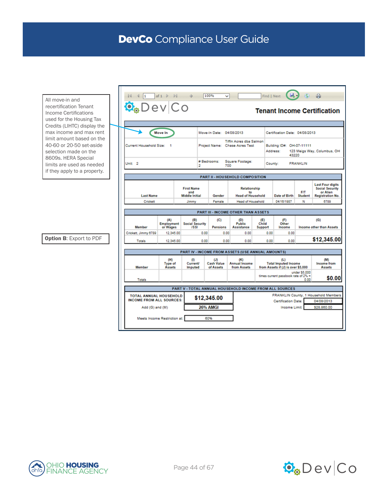|                                                                                                |                                                    | of 1                                   |                                                   | 100%<br>$\checkmark$                  |                                                           | Find   Next             |                                                                          |                              |                                                                                          |
|------------------------------------------------------------------------------------------------|----------------------------------------------------|----------------------------------------|---------------------------------------------------|---------------------------------------|-----------------------------------------------------------|-------------------------|--------------------------------------------------------------------------|------------------------------|------------------------------------------------------------------------------------------|
| All move-in and<br>recertification Tenant<br>Income Certifications<br>used for the Housing Tax | $\bullet$ DeviCo                                   |                                        |                                                   |                                       |                                                           |                         |                                                                          |                              | <b>Tenant Income Certification</b>                                                       |
| Credits (LIHTC) display the<br>max income and max rent<br>limit amount based on the            |                                                    | Move In                                |                                                   | Move-In Date: 04/08/2013              |                                                           |                         | Certification Date: 04/08/2013                                           |                              |                                                                                          |
| 40-60 or 20-50 set-aside<br>selection made on the                                              | Current Household Size:                            |                                        |                                                   |                                       | Tiffin Acres dba Salmon<br>Project Name: Chase Acres Test |                         | Building ID#: OH-07-11111<br>Address:<br>43220                           |                              | 123 Meigs Way, Columbus, OH                                                              |
| 8609s. HERA Special<br>limits are used as needed                                               | Unit: 2                                            |                                        | $\overline{2}$                                    | # Bedrooms:                           | Square Footage:<br>700                                    | County:                 |                                                                          | <b>FRANKLIN</b>              |                                                                                          |
| if they apply to a property.                                                                   |                                                    |                                        |                                                   |                                       | <b>PART II - HOUSEHOLD COMPOSITION</b>                    |                         |                                                                          |                              |                                                                                          |
|                                                                                                | <b>Last Name</b>                                   |                                        | <b>First Name</b><br>and<br><b>Middle Initial</b> | Gender                                | <b>Relationship</b><br>to<br><b>Head of Household</b>     |                         | Date of Birth                                                            | <b>F/T</b><br><b>Student</b> | <b>Last Four digits</b><br><b>Social Security</b><br>or Alien<br><b>Registration No.</b> |
|                                                                                                | Crickett                                           |                                        | Jimmy                                             | Female                                | <b>Head of Household</b>                                  |                         | 04/16/1987                                                               | Ν                            | 6789                                                                                     |
|                                                                                                |                                                    |                                        |                                                   |                                       | <b>PART III - INCOME OTHER THAN ASSETS</b>                |                         |                                                                          |                              |                                                                                          |
|                                                                                                | <b>Member</b>                                      | (A)<br><b>Employment</b><br>or Wages   | (B)<br><b>Social Security</b><br><b>ISSI</b>      | (C)<br><b>Pensions</b>                | (D)<br>Public<br><b>Assistance</b>                        | (E)<br>Child<br>Support | (F)<br>Other<br>Income                                                   |                              | (G)<br><b>Income other than Assets</b>                                                   |
|                                                                                                | Crickett, Jimmy 6789                               | 12.345.00                              | 0.00                                              | 0.00                                  | 0.00                                                      | 0.00                    | 0.00                                                                     |                              |                                                                                          |
| Option B: Export to PDF                                                                        | Totals                                             | 12.345.00                              | 0.00                                              | 0.00                                  | 0.00                                                      | 0.00                    | 0.00                                                                     |                              | \$12,345.00                                                                              |
|                                                                                                |                                                    |                                        |                                                   |                                       | PART IV - INCOME FROM ASSETS (USE ANNUAL AMOUNTS)         |                         |                                                                          |                              |                                                                                          |
|                                                                                                | Member                                             | (H)<br><b>Type of</b><br><b>Assets</b> | (1)<br>Current/<br><b>Imputed</b>                 | (J)<br><b>Cash Value</b><br>of Assets | (K)<br><b>Annual Income</b><br>from Assets                |                         | (L)<br><b>Total Imputed Income</b><br>from Assets if (J) is over \$5,000 |                              | (M)<br><b>Income from</b><br><b>Assets</b>                                               |
|                                                                                                | <b>Totals</b>                                      |                                        |                                                   |                                       |                                                           |                         | times current passbook rate of 2% =                                      | under \$5,000<br>0.00        | \$0.00                                                                                   |
|                                                                                                |                                                    |                                        |                                                   |                                       | PART V - TOTAL ANNUAL HOUSEHOLD INCOME FROM ALL SOURCES   |                         |                                                                          |                              |                                                                                          |
|                                                                                                | <b>TOTAL ANNUAL HOUSEHOLD</b>                      |                                        |                                                   | \$12,345.00                           |                                                           |                         |                                                                          |                              | FRANKLIN County, 1 Household Members                                                     |
|                                                                                                | <b>INCOME FROM ALL SOURCES:</b><br>Add (G) and (M) |                                        |                                                   | <b>26% AMGI</b>                       |                                                           |                         | <b>Certification Date:</b><br><b>Income Limit:</b>                       |                              | 04/08/2013<br>\$28,860.00                                                                |
|                                                                                                |                                                    | Meets Income Restriction at:           |                                                   | 60%                                   |                                                           |                         |                                                                          |                              |                                                                                          |



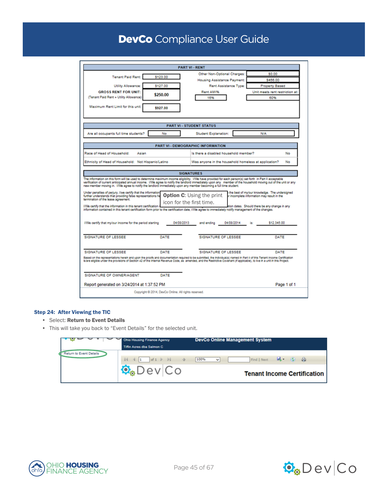|                                                                                                                                                                                                                                                                                                                                                                                                                                                                                                                                                                                                                                                                                           |            | <b>PART VI - RENT</b>                                        |                                                                                                                                               |
|-------------------------------------------------------------------------------------------------------------------------------------------------------------------------------------------------------------------------------------------------------------------------------------------------------------------------------------------------------------------------------------------------------------------------------------------------------------------------------------------------------------------------------------------------------------------------------------------------------------------------------------------------------------------------------------------|------------|--------------------------------------------------------------|-----------------------------------------------------------------------------------------------------------------------------------------------|
|                                                                                                                                                                                                                                                                                                                                                                                                                                                                                                                                                                                                                                                                                           |            | Other Non-Optional Charges:                                  | \$0.00                                                                                                                                        |
| <b>Tenant Paid Rent:</b>                                                                                                                                                                                                                                                                                                                                                                                                                                                                                                                                                                                                                                                                  | \$123.00   | <b>Housing Assistance Payment:</b>                           | \$456.00                                                                                                                                      |
| <b>Utility Allowance:</b>                                                                                                                                                                                                                                                                                                                                                                                                                                                                                                                                                                                                                                                                 | \$127.00   | Rent Assistance Type:                                        | <b>Property Based</b>                                                                                                                         |
| <b>GROSS RENT FOR UNIT:</b>                                                                                                                                                                                                                                                                                                                                                                                                                                                                                                                                                                                                                                                               |            | Rent AMI%                                                    | Unit meets rent restriction at:                                                                                                               |
| (Tenant Paid Rent + Utility Allowance)                                                                                                                                                                                                                                                                                                                                                                                                                                                                                                                                                                                                                                                    | \$250.00   | 16%                                                          | 60%                                                                                                                                           |
| Maximum Rent Limit for this unit:                                                                                                                                                                                                                                                                                                                                                                                                                                                                                                                                                                                                                                                         | \$927.00   |                                                              |                                                                                                                                               |
|                                                                                                                                                                                                                                                                                                                                                                                                                                                                                                                                                                                                                                                                                           |            | <b>PART VI - STUDENT STATUS</b>                              |                                                                                                                                               |
| Are all occupants full time students?                                                                                                                                                                                                                                                                                                                                                                                                                                                                                                                                                                                                                                                     | No         | <b>Student Explanation:</b>                                  | N/A                                                                                                                                           |
|                                                                                                                                                                                                                                                                                                                                                                                                                                                                                                                                                                                                                                                                                           |            | <b>PART VI - DEMOGRAPHIC INFORMATION</b>                     |                                                                                                                                               |
| Race of Head of Household:<br>Asian                                                                                                                                                                                                                                                                                                                                                                                                                                                                                                                                                                                                                                                       |            | Is there a disabled household member?                        | No                                                                                                                                            |
| Ethnicity of Head of Household: Not Hispanic/Latino                                                                                                                                                                                                                                                                                                                                                                                                                                                                                                                                                                                                                                       |            | Was anyone in the household homeless at application?         | No                                                                                                                                            |
|                                                                                                                                                                                                                                                                                                                                                                                                                                                                                                                                                                                                                                                                                           |            | <b>SIGNATURES</b>                                            |                                                                                                                                               |
| The information on this form will be used to determine maximum income eligibility. I/We have provided for each person(s) set forth in Part II acceptable<br>verification of current anticipated annual income. I/We agree to notify the landlord immediately upon any member of the household moving out of the unit or any<br>new member moving in. I/We agree to notify the landlord immediately upon any member becoming a full time student.<br>Under penalties of perjury, I/we certify that the information<br>further understands that providing false representations he<br>termination of the lease agreement.<br>I/We certify that the information in this tenant certification |            | <b>Option C:</b> Using the print<br>icon for the first time. | the best of my/our knowledge. The undersigned<br>or incomplete information may result in the<br>tion dates. Should there be any change in any |
| information contained in this tenant certification form prior to the certification date, I/We agree to immediately notify management of the changes.<br>I/We certify that my/our income for the period starting                                                                                                                                                                                                                                                                                                                                                                                                                                                                           | 04/08/2013 | and ending<br>04/08/2014                                     | \$12,345.00<br>is:                                                                                                                            |
|                                                                                                                                                                                                                                                                                                                                                                                                                                                                                                                                                                                                                                                                                           | DATE       | SIGNATURE OF LESSEE                                          | DATE                                                                                                                                          |
| SIGNATURE OF LESSEE<br>SIGNATURE OF LESSEE                                                                                                                                                                                                                                                                                                                                                                                                                                                                                                                                                                                                                                                | DATE       | SIGNATURE OF LESSEE                                          | DATE                                                                                                                                          |
| Based on the representations herein and upon the proofs and documentation required to be submitted, the individual/s) named in Part II of this Tenant income Certification<br>is/are eligible under the provisions of Section 42 of the Internal Revenue Code, as amended, and the Restrictive Covenant (if applicable), to live in a unit in this Project.                                                                                                                                                                                                                                                                                                                               |            |                                                              |                                                                                                                                               |
| SIGNATURE OF OWNER/AGENT                                                                                                                                                                                                                                                                                                                                                                                                                                                                                                                                                                                                                                                                  | DATE       |                                                              |                                                                                                                                               |

#### Step 24: After Viewing the TIC

- Select: Return to Event Details
- This will take you back to "Event Details" for the selected unit.

| Find   Next   C   C                |
|------------------------------------|
| <b>Tenant Income Certification</b> |
|                                    |



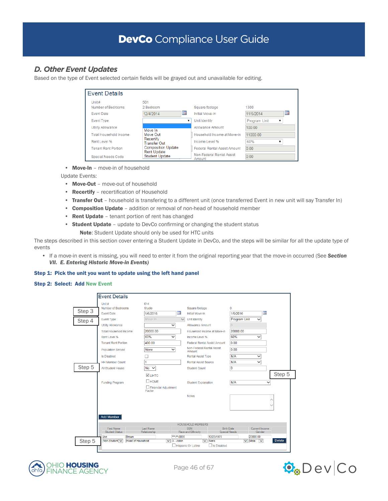### *D. Other Event Updates*

Based on the type of Event selected certain fields will be grayed out and unavailable for editing.

| <b>Event Details</b>          |                                                 |                                     |                |
|-------------------------------|-------------------------------------------------|-------------------------------------|----------------|
| Unit#                         | 501                                             |                                     |                |
| Number of Bedrooms            | 2 Bedroom                                       | Square footage                      | 1300           |
| Event Date                    | ⊞<br>12/4/2014                                  | Initial Move-in                     | 圜<br>11/5/2014 |
| <b>Event Type</b>             |                                                 | Unit Identity                       | Program Unit   |
| <b>Utility Allowance</b>      | Move In                                         | Allowance Amount                    | 100.00         |
| <b>Total Household Income</b> | Move Out                                        | Household Income at Move-in         | 11000 00       |
| Rent Level %                  | Recertify<br><b>Transfer Out</b>                | Income Level %                      | 60%            |
| <b>Tenant Rent Portion</b>    | <b>Composition Update</b><br><b>Rent Update</b> | Federal Rental Assist Amount        | 0.00           |
| Special Needs Code            | <b>Student Update</b>                           | Non-Federal Rental Assist<br>Amount | 0.00           |

• Move-In - move-in of household

Update Events:

- Move-Out move-out of household
- Recertify recertification of Household
- Transfer Out household is transfering to a different unit (once transferred Event in new unit will say Transfer In)
- Composition Update addition or removal of non-head of household member
- Rent Update tenant portion of rent has changed
- Student Update update to DevCo confirming or changing the student status Note: Student Update should only be used for HTC units
- The steps described in this section cover entering a Student Update in DevCo, and the steps will be similar for all the update type of events
	- If a move-in event is missing, you will need to enter it from the original reporting year that the move-in occurred (See *Section VII. E. Entering Historic Move-in Events)*

#### Step 1: Pick the unit you want to update using the left hand panel

#### Step 2: Select: Add New Event

| Step 5 | <b>Brown</b><br>Joe<br>Non-Student V<br><b>Head of Household</b> | $\vee$ A - Asian               | $\overline{\mathbf{v}}$<br>None          | <b>Delete</b><br>$\vee$ Male<br>$\overline{\mathbf{v}}$ |
|--------|------------------------------------------------------------------|--------------------------------|------------------------------------------|---------------------------------------------------------|
|        | <b>Student Status</b>                                            | Relationship<br>***.**.0000    | Race and Ethnicity<br>12/23/1975         | <b>Special Needs</b><br>Gender<br>20000.00              |
|        | <b>First Name</b>                                                | <b>Last Name</b>               | <b>HOUSEHOLD MEMBERS</b><br>SSN          | <b>Birth Date</b><br><b>Current Income</b>              |
|        | <b>Add Member</b>                                                |                                |                                          |                                                         |
|        |                                                                  |                                |                                          |                                                         |
|        |                                                                  |                                | <b>Notes</b>                             |                                                         |
|        |                                                                  | Financial Adjustment<br>Factor |                                          |                                                         |
|        | <b>Funding Program</b>                                           | $\Box$ HOME                    | <b>Student Explanation</b>               | N/A<br>$\checkmark$                                     |
|        |                                                                  | $\triangledown$ HHTC           |                                          | Step 5                                                  |
| Step 5 | All Student House                                                | $No \vee$                      | Student Count                            | 0                                                       |
|        | <b>HH Member Count</b>                                           | 1                              | <b>Rental Assist Source</b>              | N/A<br>◡                                                |
|        | <b>Is Disabled</b>                                               |                                | <b>Rental Assist Type</b>                | N/A<br>◡                                                |
|        | <b>Population Served</b>                                         | None<br>$\checkmark$           | Non-Federal Rental Assist<br>Amount      | 0.00                                                    |
|        | <b>Tenant Rent Portion</b>                                       | 400.00                         | <b>Federal Rental Assist Amount</b>      | 0.00                                                    |
|        | Rent Level %                                                     | 60%<br>$\checkmark$            | Income Level %                           | 60%<br>$\checkmark$                                     |
|        | <b>Total Household Income</b>                                    | 20000.00                       | Household Income at Move-in              | 20000.00                                                |
| Step 4 | <b>Utility Allowance</b>                                         | $\checkmark$                   | Allowance Amount                         | $\Omega$                                                |
|        | <b>Event Type</b>                                                | Move In                        | $\checkmark$<br>Unit Identity            | Program Unit<br>$\checkmark$                            |
| Step 3 | <b>Event Date</b>                                                | ▦<br>1/6/2016                  | Square footage<br><b>Initial Move-in</b> | 0<br>前<br>1/6/2016                                      |
|        | Unit#<br>Number of Bedrooms                                      | 614<br>Studio                  |                                          |                                                         |
|        |                                                                  |                                |                                          |                                                         |



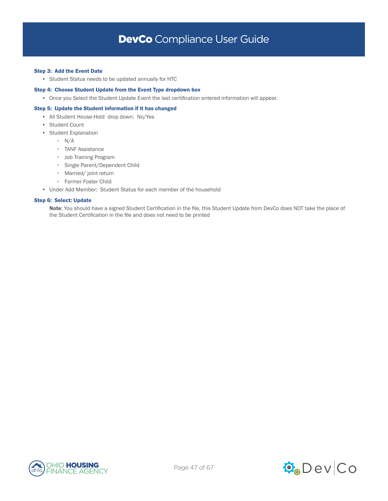#### Step 3: Add the Event Date

• Student Status needs to be updated annually for HTC

#### Step 4: Choose Student Update from the Event Type dropdown box

• Once you Select the Student Update Event the last certification entered information will appear.

#### Step 5: Update the Student information if it has changed

- All Student House-Hold drop down: No/Yes
- Student Count
- Student Explanation
	- N/A
	- TANF Assistance
	- Job Training Program
	- Single Parent/Dependent Child
	- Married/ joint return
	- Former Foster Child
- Under Add Member: Student Status for each member of the household

#### Step 6: Select: Update

Note: You should have a signed Student Certification in the file, this Student Update from DevCo does NOT take the place of the Student Certification in the file and does not need to be printed